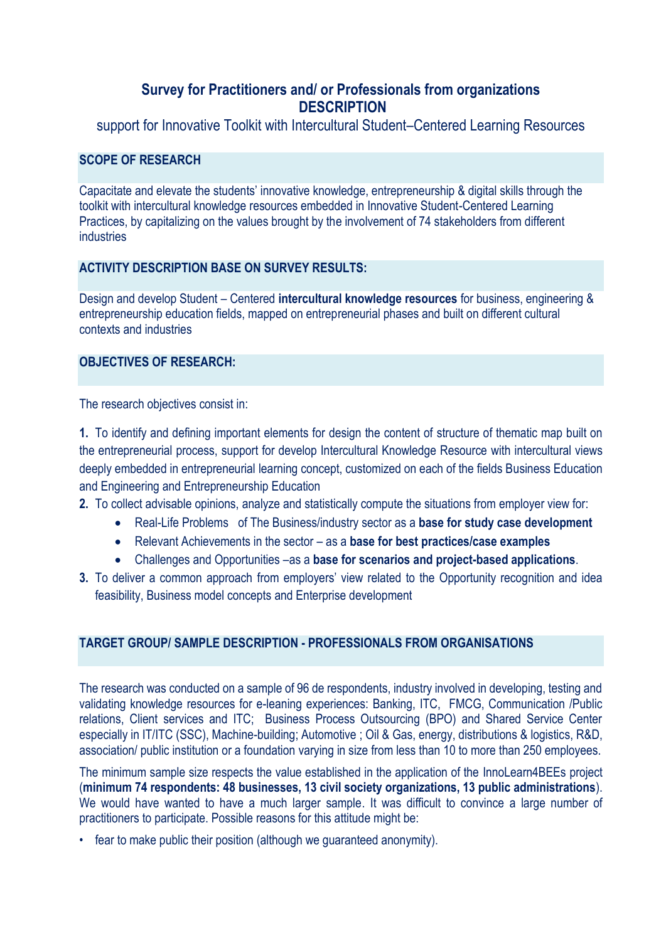# **Survey for Practitioners and/ or Professionals from organizations DESCRIPTION**

support for Innovative Toolkit with Intercultural Student–Centered Learning Resources

### **SCOPE OF RESEARCH**

Capacitate and elevate the students' innovative knowledge, entrepreneurship & digital skills through the toolkit with intercultural knowledge resources embedded in Innovative Student-Centered Learning Practices, by capitalizing on the values brought by the involvement of 74 stakeholders from different industries

### **ACTIVITY DESCRIPTION BASE ON SURVEY RESULTS:**

Design and develop Student – Centered **intercultural knowledge resources** for business, engineering & entrepreneurship education fields, mapped on entrepreneurial phases and built on different cultural contexts and industries

# **OBJECTIVES OF RESEARCH:**

The research objectives consist in:

**1.** To identify and defining important elements for design the content of structure of thematic map built on the entrepreneurial process, support for develop Intercultural Knowledge Resource with intercultural views deeply embedded in entrepreneurial learning concept, customized on each of the fields Business Education and Engineering and Entrepreneurship Education

- **2.** To collect advisable opinions, analyze and statistically compute the situations from employer view for:
	- Real-Life Problems of The Business/industry sector as a **base for study case development**
	- Relevant Achievements in the sector as a **base for best practices/case examples**
	- Challenges and Opportunities –as a **base for scenarios and project-based applications**.
- **3.** To deliver a common approach from employers' view related to the Opportunity recognition and idea feasibility, Business model concepts and Enterprise development

## **TARGET GROUP/ SAMPLE DESCRIPTION - PROFESSIONALS FROM ORGANISATIONS**

The research was conducted on a sample of 96 de respondents, industry involved in developing, testing and validating knowledge resources for e-leaning experiences: Banking, ITC, FMCG, Communication /Public relations, Client services and ITC; Business Process Outsourcing (BPO) and Shared Service Center especially in IT/ITC (SSC), Machine-building; Automotive ; Oil & Gas, energy, distributions & logistics, R&D, association/ public institution or a foundation varying in size from less than 10 to more than 250 employees.

The minimum sample size respects the value established in the application of the InnoLearn4BEEs project (**minimum 74 respondents: 48 businesses, 13 civil society organizations, 13 public administrations**). We would have wanted to have a much larger sample. It was difficult to convince a large number of practitioners to participate. Possible reasons for this attitude might be:

• fear to make public their position (although we guaranteed anonymity).